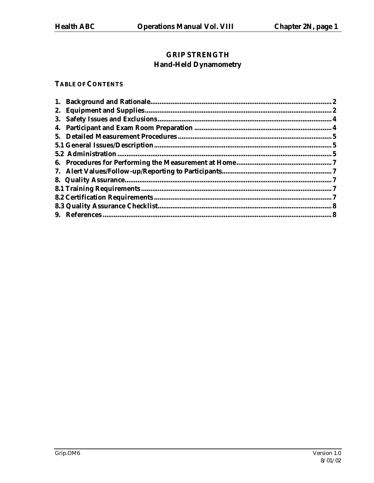# **GRIP STRENGTH Hand-Held Dynamometry**

### **TABLE OF CONTENTS**

|  | $\bf{2}$ |
|--|----------|
|  |          |
|  |          |
|  |          |
|  |          |
|  |          |
|  |          |
|  |          |
|  |          |
|  |          |
|  |          |
|  |          |
|  |          |
|  |          |
|  |          |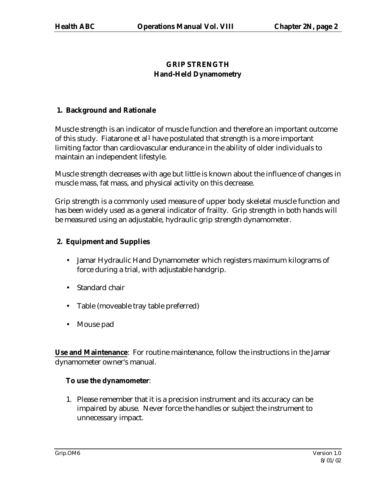# **GRIP STRENGTH Hand-Held Dynamometry**

## **1. Background and Rationale**

Muscle strength is an indicator of muscle function and therefore an important outcome of this study. Fiatarone et al<sup>1</sup> have postulated that strength is a more important limiting factor than cardiovascular endurance in the ability of older individuals to maintain an independent lifestyle.

Muscle strength decreases with age but little is known about the influence of changes in muscle mass, fat mass, and physical activity on this decrease.

Grip strength is a commonly used measure of upper body skeletal muscle function and has been widely used as a general indicator of frailty. Grip strength in both hands will be measured using an adjustable, hydraulic grip strength dynamometer.

# **2. Equipment and Supplies**

- Jamar Hydraulic Hand Dynamometer which registers maximum kilograms of force during a trial, with adjustable handgrip.
- Standard chair
- Table (moveable tray table preferred)
- Mouse pad

**Use and Maintenance**: For routine maintenance, follow the instructions in the Jamar dynamometer owner's manual.

# **To use the dynamometer**:

1. Please remember that it is a precision instrument and its accuracy can be impaired by abuse. Never force the handles or subject the instrument to unnecessary impact.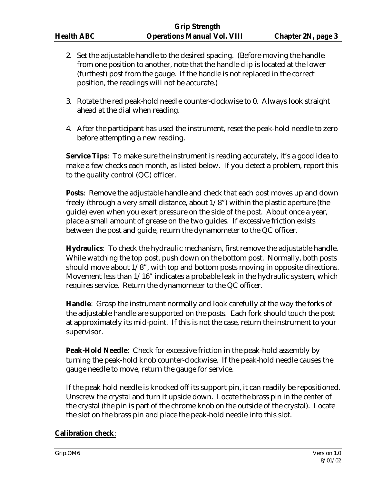- 2. Set the adjustable handle to the desired spacing. (Before moving the handle from one position to another, note that the handle clip is located at the lower (furthest) post from the gauge. If the handle is not replaced in the correct position, the readings will not be accurate.)
- 3. Rotate the red peak-hold needle counter-clockwise to 0. Always look straight ahead at the dial when reading.
- 4. After the participant has used the instrument, reset the peak-hold needle to zero before attempting a new reading.

**Service Tips**: To make sure the instrument is reading accurately, it's a good idea to make a few checks each month, as listed below. If you detect a problem, report this to the quality control (QC) officer.

**Posts**: Remove the adjustable handle and check that each post moves up and down freely (through a very small distance, about 1/8") within the plastic aperture (the guide) even when you exert pressure on the side of the post. About once a year, place a small amount of grease on the two guides. If excessive friction exists between the post and guide, return the dynamometer to the QC officer.

**Hydraulics**: To check the hydraulic mechanism, first remove the adjustable handle. While watching the top post, push down on the bottom post. Normally, both posts should move about 1/8", with top and bottom posts moving in opposite directions. Movement less than 1/16" indicates a probable leak in the hydraulic system, which requires service. Return the dynamometer to the QC officer.

**Handle**: Grasp the instrument normally and look carefully at the way the forks of the adjustable handle are supported on the posts. Each fork should touch the post at approximately its mid-point. If this is not the case, return the instrument to your supervisor.

**Peak-Hold Needle**: Check for excessive friction in the peak-hold assembly by turning the peak-hold knob counter-clockwise. If the peak-hold needle causes the gauge needle to move, return the gauge for service.

If the peak hold needle is knocked off its support pin, it can readily be repositioned. Unscrew the crystal and turn it upside down. Locate the brass pin in the center of the crystal (the pin is part of the chrome knob on the outside of the crystal). Locate the slot on the brass pin and place the peak-hold needle into this slot.

# **Calibration check**: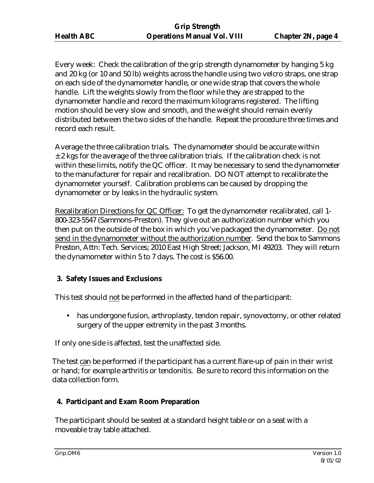Every week: Check the calibration of the grip strength dynamometer by hanging 5 kg and 20 kg (or 10 and 50 lb) weights across the handle using two velcro straps, one strap on each side of the dynamometer handle, or one wide strap that covers the whole handle. Lift the weights slowly from the floor while they are strapped to the dynamometer handle and record the maximum kilograms registered. The lifting motion should be very slow and smooth, and the weight should remain evenly distributed between the two sides of the handle. Repeat the procedure three times and record each result.

Average the three calibration trials. The dynamometer should be accurate within  $\pm$  2 kgs for the average of the three calibration trials. If the calibration check is not within these limits, notify the QC officer. It may be necessary to send the dynamometer to the manufacturer for repair and recalibration. DO NOT attempt to recalibrate the dynamometer yourself. Calibration problems can be caused by dropping the dynamometer or by leaks in the hydraulic system.

Recalibration Directions for QC Officer: To get the dynamometer recalibrated, call 1- 800-323-5547 (Sammons-Preston). They give out an authorization number which you then put on the outside of the box in which you've packaged the dynamometer. Do not send in the dynamometer without the authorization number. Send the box to Sammons Preston, Attn: Tech. Services; 2010 East High Street; Jackson, MI 49203. They will return the dynamometer within 5 to 7 days. The cost is \$56.00.

# **3. Safety Issues and Exclusions**

This test should not be performed in the affected hand of the participant:

• has undergone fusion, arthroplasty, tendon repair, synovectomy, or other related surgery of the upper extremity in the past 3 months.

If only one side is affected, test the unaffected side.

The test can be performed if the participant has a current flare-up of pain in their wrist or hand; for example arthritis or tendonitis. Be sure to record this information on the data collection form.

# **4. Participant and Exam Room Preparation**

The participant should be seated at a standard height table or on a seat with a moveable tray table attached.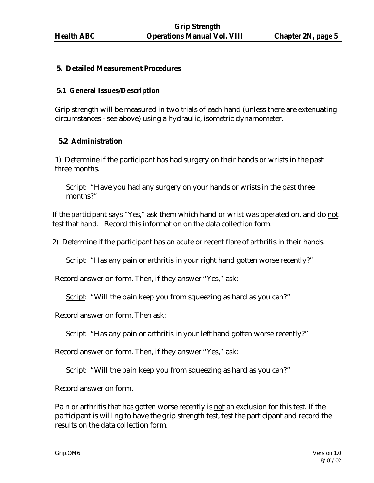### **5. Detailed Measurement Procedures**

#### **5.1 General Issues/Description**

Grip strength will be measured in two trials of each hand (unless there are extenuating circumstances - see above) using a hydraulic, isometric dynamometer.

#### **5.2 Administration**

1) Determine if the participant has had surgery on their hands or wrists in the past three months.

Script: "Have you had any surgery on your hands or wrists in the past three months?"

If the participant says "Yes," ask them which hand or wrist was operated on, and do not test that hand. Record this information on the data collection form.

2) Determine if the participant has an acute or recent flare of arthritis in their hands.

Script: "Has any pain or arthritis in your right hand gotten worse recently?"

Record answer on form. Then, if they answer "Yes," ask:

Script: "Will the pain keep you from squeezing as hard as you can?"

Record answer on form. Then ask:

Script: "Has any pain or arthritis in your left hand gotten worse recently?"

Record answer on form. Then, if they answer "Yes," ask:

Script: "Will the pain keep you from squeezing as hard as you can?"

Record answer on form.

Pain or arthritis that has gotten worse recently is not an exclusion for this test. If the participant is willing to have the grip strength test, test the participant and record the results on the data collection form.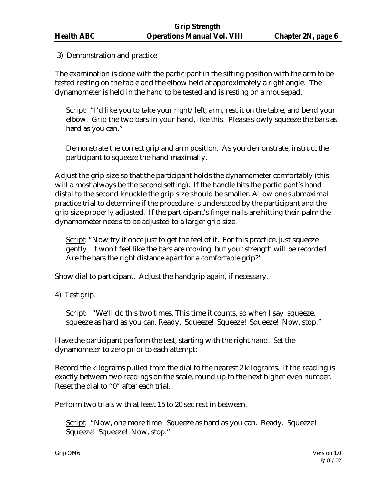### 3) Demonstration and practice

The examination is done with the participant in the sitting position with the arm to be tested resting on the table and the elbow held at approximately a right angle. The dynamometer is held in the hand to be tested and is resting on a mousepad.

Script: "I'd like you to take your right/left, arm, rest it on the table, and bend your elbow. Grip the two bars in your hand, like this. Please slowly squeeze the bars as hard as you can."

Demonstrate the correct grip and arm position. As you demonstrate, instruct the participant to squeeze the hand maximally.

Adjust the grip size so that the participant holds the dynamometer comfortably (this will almost always be the second setting). If the handle hits the participant's hand distal to the second knuckle the grip size should be smaller. Allow one submaximal practice trial to determine if the procedure is understood by the participant and the grip size properly adjusted. If the participant's finger nails are hitting their palm the dynamometer needs to be adjusted to a larger grip size.

Script: "Now try it once just to get the feel of it. For this practice, just squeeze gently. It won't feel like the bars are moving, but your strength will be recorded. Are the bars the right distance apart for a comfortable grip?"

Show dial to participant. Adjust the handgrip again, if necessary.

4) Test grip.

Script: "We'll do this two times. This time it counts, so when I say squeeze, squeeze as hard as you can. Ready. Squeeze! Squeeze! Squeeze! Now, stop."

Have the participant perform the test, starting with the right hand. Set the dynamometer to zero prior to each attempt:

Record the kilograms pulled from the dial to the nearest 2 kilograms. If the reading is exactly between two readings on the scale, round up to the next higher even number. Reset the dial to "0" after each trial.

Perform two trials with at least 15 to 20 sec rest in between.

Script: "Now, one more time. Squeeze as hard as you can. Ready. Squeeze! Squeeze! Squeeze! Now, stop."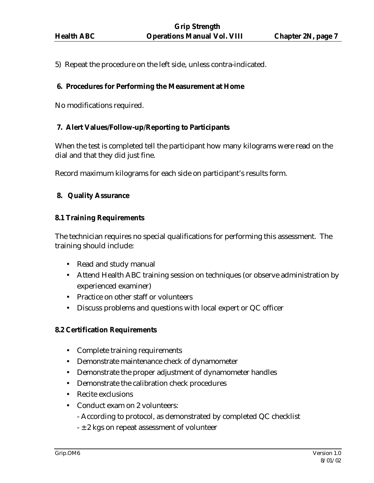5) Repeat the procedure on the left side, unless contra-indicated.

### **6. Procedures for Performing the Measurement at Home**

No modifications required.

### **7. Alert Values/Follow-up/Reporting to Participants**

When the test is completed tell the participant how many kilograms were read on the dial and that they did just fine.

Record maximum kilograms for each side on participant's results form.

### **8. Quality Assurance**

### **8.1 Training Requirements**

The technician requires no special qualifications for performing this assessment. The training should include:

- Read and study manual
- Attend Health ABC training session on techniques (or observe administration by experienced examiner)
- Practice on other staff or volunteers
- Discuss problems and questions with local expert or QC officer

### **8.2 Certification Requirements**

- Complete training requirements
- Demonstrate maintenance check of dynamometer
- Demonstrate the proper adjustment of dynamometer handles
- Demonstrate the calibration check procedures
- Recite exclusions
- Conduct exam on 2 volunteers:
	- According to protocol, as demonstrated by completed QC checklist
	- $\pm$  2 kgs on repeat assessment of volunteer